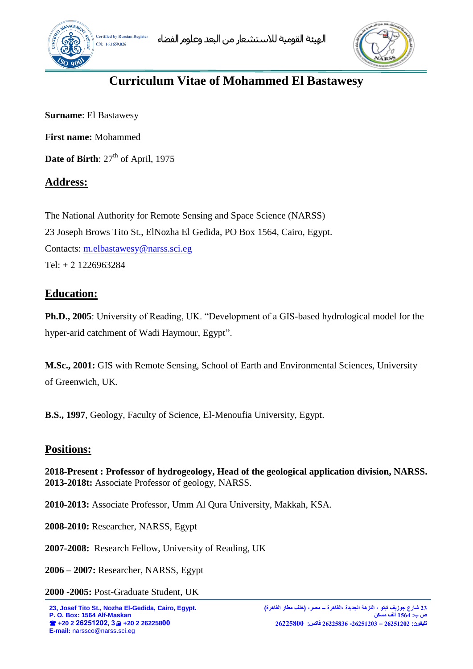



# **Curriculum Vitae of Mohammed El Bastawesy**

**Surname**: El Bastawesy

**First name:** Mohammed

**Date of Birth**:  $27<sup>th</sup>$  of April, 1975

# **Address:**

The National Authority for Remote Sensing and Space Science (NARSS) 23 Joseph Brows Tito St., ElNozha El Gedida, PO Box 1564, Cairo, Egypt. Contacts: [m.elbastawesy@narss.sci.eg](mailto:m.elbastawesy@narss.sci.eg) Tel: + 2 1226963284

# **Education:**

**Ph.D., 2005**: University of Reading, UK. "Development of a GIS-based hydrological model for the hyper-arid catchment of Wadi Haymour, Egypt".

**M.Sc., 2001:** GIS with Remote Sensing, School of Earth and Environmental Sciences, University of Greenwich, UK.

**B.S., 1997**, Geology, Faculty of Science, El-Menoufia University, Egypt.

## **Positions:**

**2018-Present : Professor of hydrogeology, Head of the geological application division, NARSS. 2013-2018t:** Associate Professor of geology, NARSS.

**2010-2013:** Associate Professor, Umm Al Qura University, Makkah, KSA.

**2008-2010:** Researcher, NARSS, Egypt

**2007-2008:** Research Fellow, University of Reading, UK

**2006 – 2007:** Researcher, NARSS, Egypt

**2000 -2005:** Post-Graduate Student, UK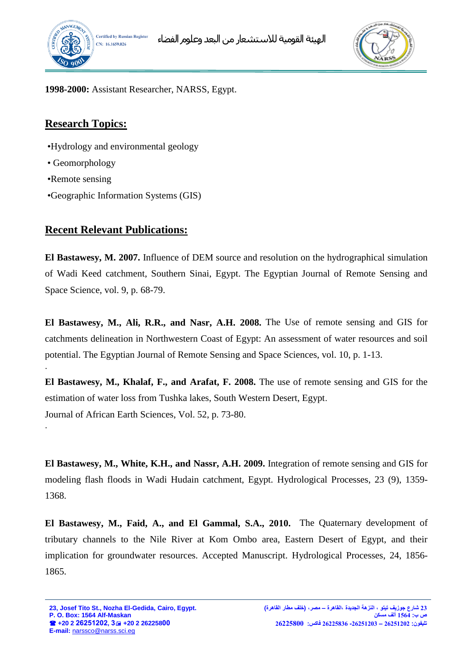



**1998-2000:** Assistant Researcher, NARSS, Egypt.

# **Research Topics:**

- •Hydrology and environmental geology
- Geomorphology
- •Remote sensing

.

•Geographic Information Systems (GIS)

## **Recent Relevant Publications:**

**El Bastawesy, M. 2007.** Influence of DEM source and resolution on the hydrographical simulation of Wadi Keed catchment, Southern Sinai, Egypt. The Egyptian Journal of Remote Sensing and Space Science, vol. 9, p. 68-79.

**El Bastawesy, M., Ali, R.R., and Nasr, A.H. 2008.** The Use of remote sensing and GIS for catchments delineation in Northwestern Coast of Egypt: An assessment of water resources and soil potential. The Egyptian Journal of Remote Sensing and Space Sciences, vol. 10, p. 1-13.

**El Bastawesy, M., Khalaf, F., and Arafat, F. 2008.** The use of remote sensing and GIS for the estimation of water loss from Tushka lakes, South Western Desert, Egypt. Journal of African Earth Sciences, Vol. 52, p. 73-80. .

**El Bastawesy, M., White, K.H., and Nassr, A.H. 2009.** Integration of remote sensing and GIS for modeling flash floods in Wadi Hudain catchment, Egypt. Hydrological Processes, 23 (9), 1359- 1368.

**El Bastawesy, M., Faid, A., and El Gammal, S.A., 2010.** The Quaternary development of tributary channels to the Nile River at Kom Ombo area, Eastern Desert of Egypt, and their implication for groundwater resources. Accepted Manuscript. Hydrological Processes, 24, 1856- 1865.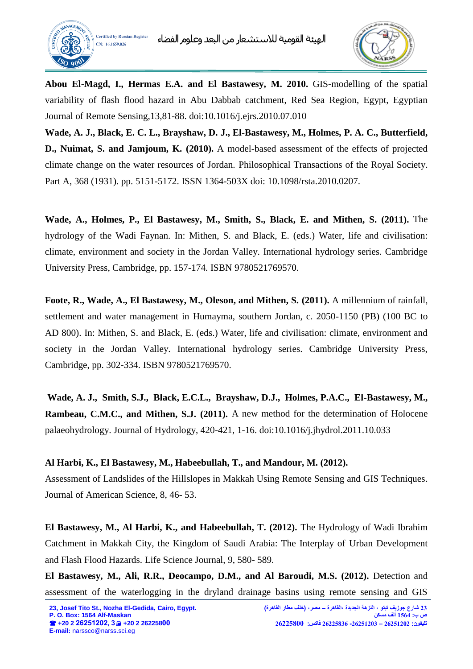



**Abou El-Magd, I., Hermas E.A. and El Bastawesy, M. 2010.** GIS-modelling of the spatial variability of flash flood hazard in Abu Dabbab catchment, Red Sea Region, Egypt, Egyptian Journal of Remote Sensing,13,81-88. doi:10.1016/j.ejrs.2010.07.010

**Wade, A. J., Black, E. C. L., Brayshaw, D. J., El-Bastawesy, M., Holmes, P. A. C., Butterfield, D., Nuimat, S. and Jamjoum, K. (2010).** [A model-based assessment of the effects of projected](http://centaur.reading.ac.uk/8197/)  [climate change on the water resources of Jordan.](http://centaur.reading.ac.uk/8197/) Philosophical Transactions of the Royal Society. Part A, 368 (1931). pp. 5151-5172. ISSN 1364-503X doi: [10.1098/rsta.2010.0207.](http://dx.doi.org/10.1098/rsta.2010.0207)

**Wade, A., Holmes, P., El Bastawesy, M., Smith, S., Black, E. and Mithen, S. (2011).** [The](http://centaur.reading.ac.uk/4538/)  [hydrology of the Wadi Faynan.](http://centaur.reading.ac.uk/4538/) In: Mithen, S. and Black, E. (eds.) Water, life and civilisation: climate, environment and society in the Jordan Valley. International hydrology series. Cambridge University Press, Cambridge, pp. 157-174. ISBN 9780521769570.

**Foote, R., Wade, A., El Bastawesy, M., Oleson, and Mithen, S. (2011).** A millennium of rainfall, settlement and water management in Humayma, southern Jordan, c. 2050-1150 (PB) (100 BC to AD 800). In: Mithen, S. and Black, E. (eds.) Water, life and civilisation: climate, environment and society in the Jordan Valley. International hydrology series. Cambridge University Press, Cambridge, pp. 302-334. ISBN 9780521769570.

**Wade, A. J., Smith, S.J., Black, E.C.L., Brayshaw, D.J., Holmes, P.A.C., El-Bastawesy, M., Rambeau, C.M.C., and Mithen, S.J. (2011).** A new method for the determination of Holocene palaeohydrology. Journal of Hydrology, 420-421, 1-16. doi:10.1016/j.jhydrol.2011.10.033

#### **Al Harbi, K., El Bastawesy, M., Habeebullah, T., and Mandour, M. (2012).**

Assessment of Landslides of the Hillslopes in Makkah Using Remote Sensing and GIS Techniques. Journal of American Science, 8, 46- 53.

**El Bastawesy, M., Al Harbi, K., and Habeebullah, T. (2012).** The Hydrology of Wadi Ibrahim Catchment in Makkah City, the Kingdom of Saudi Arabia: The Interplay of Urban Development and Flash Flood Hazards. Life Science Journal, 9, 580- 589.

**El Bastawesy, M., Ali, R.R., Deocampo, D.M., and Al Baroudi, M.S. (2012).** Detection and assessment of the waterlogging in the dryland drainage basins using remote sensing and GIS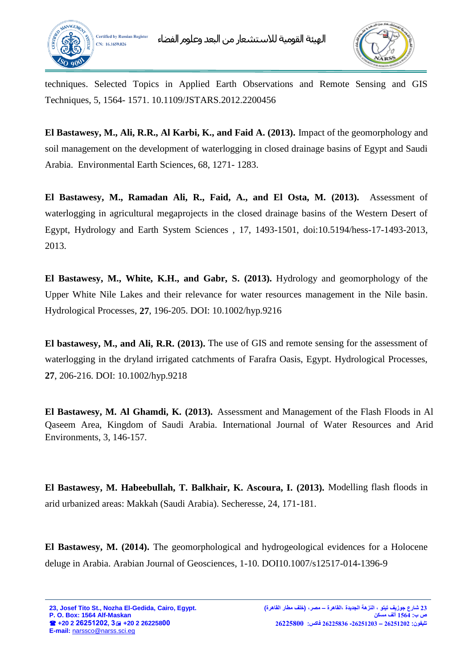



techniques. Selected Topics in Applied Earth Observations and Remote Sensing and GIS Techniques, 5, 1564- 1571. [10.1109/JSTARS.2012.2200456](http://dx.doi.org/10.1109/JSTARS.2012.2200456) 

**El Bastawesy, M., Ali, R.R., Al Karbi, K., and Faid A. (2013).** Impact of the geomorphology and soil management on the development of waterlogging in closed drainage basins of Egypt and Saudi Arabia. Environmental Earth Sciences, 68, 1271- 1283.

**El Bastawesy, M., Ramadan Ali, R., Faid, A., and El Osta, M. (2013).** Assessment of waterlogging in agricultural megaprojects in the closed drainage basins of the Western Desert of Egypt, Hydrology and Earth System Sciences , 17, 1493-1501, doi:10.5194/hess-17-1493-2013, 2013.

**El Bastawesy, M., White, K.H., and Gabr, S. (2013).** Hydrology and geomorphology of the Upper White Nile Lakes and their relevance for water resources management in the Nile basin. Hydrological Processes, **27**, 196-205. DOI: 10.1002/hyp.9216

**El bastawesy, M., and Ali, R.R. (2013).** The use of GIS and remote sensing for the assessment of waterlogging in the dryland irrigated catchments of Farafra Oasis, Egypt. Hydrological Processes, **27**, 206-216. DOI: 10.1002/hyp.9218

**El Bastawesy, M. Al Ghamdi, K. (2013).** Assessment and Management of the Flash Floods in Al Qaseem Area, Kingdom of Saudi Arabia. International Journal of Water Resources and Arid Environments, 3, 146-157.

**El Bastawesy, M. Habeebullah, T. Balkhair, K. Ascoura, I. (2013).** Modelling flash floods in arid urbanized areas: Makkah (Saudi Arabia). Secheresse, 24, 171-181.

**El Bastawesy, M. (2014).** [The geomorphological and hydrogeological evidences for a Holocene](http://scholar.google.com/citations?view_op=view_citation&hl=en&user=I55T2Z0AAAAJ&citation_for_view=I55T2Z0AAAAJ:0EnyYjriUFMC)  [deluge in Arabia.](http://scholar.google.com/citations?view_op=view_citation&hl=en&user=I55T2Z0AAAAJ&citation_for_view=I55T2Z0AAAAJ:0EnyYjriUFMC) Arabian Journal of Geosciences, 1-10. DOI10.1007/s12517-014-1396-9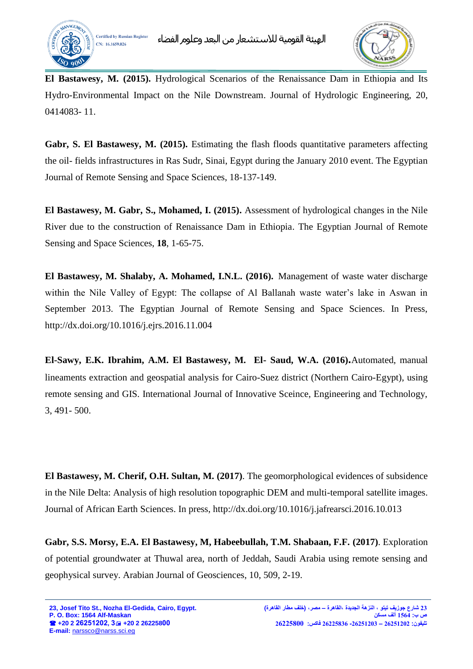



**El Bastawesy, M. (2015).** [Hydrological Scenarios of the Renaissance Dam in Ethiopia and Its](http://scholar.google.com/citations?view_op=view_citation&hl=en&user=I55T2Z0AAAAJ&citation_for_view=I55T2Z0AAAAJ:8k81kl-MbHgC)  [Hydro-Environmental Impact on the Nile Downstream.](http://scholar.google.com/citations?view_op=view_citation&hl=en&user=I55T2Z0AAAAJ&citation_for_view=I55T2Z0AAAAJ:8k81kl-MbHgC) Journal of Hydrologic Engineering, 20, 0414083- 11.

**Gabr, S. El Bastawesy, M. (2015).** Estimating the flash floods quantitative parameters affecting the oil- fields infrastructures in Ras Sudr, Sinai, Egypt during the January 2010 event. The Egyptian Journal of Remote Sensing and Space Sciences, 18-137-149.

**El Bastawesy, M. Gabr, S., Mohamed, I. (2015).** [Assessment of hydrological changes in the Nile](http://scholar.google.com/citations?view_op=view_citation&hl=en&user=iCnhX08AAAAJ&citation_for_view=iCnhX08AAAAJ:KlAtU1dfN6UC)  [River due to the construction of Renaissance Dam in Ethiopia.](http://scholar.google.com/citations?view_op=view_citation&hl=en&user=iCnhX08AAAAJ&citation_for_view=iCnhX08AAAAJ:KlAtU1dfN6UC) The Egyptian Journal of Remote Sensing and Space Sciences, **18**, 1-65-75.

**El Bastawesy, M. Shalaby, A. Mohamed, I.N.L. (2016).** [Management of waste water discharge](http://www.sciencedirect.com/science/article/pii/S1110982316301144)  [within the Nile Valley of Egypt: The collapse of Al Ballanah waste water's lake in Aswan in](http://www.sciencedirect.com/science/article/pii/S1110982316301144)  [September 2013.](http://www.sciencedirect.com/science/article/pii/S1110982316301144) The Egyptian Journal of Remote Sensing and Space Sciences. In Press, <http://dx.doi.org/10.1016/j.ejrs.2016.11.004>

**El-Sawy, E.K. Ibrahim, A.M. El Bastawesy, M. El- Saud, W.A. (2016).**Automated, manual lineaments extraction and geospatial analysis for Cairo-Suez district (Northern Cairo-Egypt), using remote sensing and GIS. International Journal of Innovative Sceince, Engineering and Technology, 3, 491- 500.

**El Bastawesy, M. Cherif, O.H. Sultan, M. (2017)**. [The geomorphological evidences of subsidence](http://scholar.google.com/citations?view_op=view_citation&hl=en&user=iCnhX08AAAAJ&cstart=20&citation_for_view=iCnhX08AAAAJ:4TOpqqG69KYC)  [in the Nile Delta: Analysis of high resolution topographic DEM and multi-temporal satellite images.](http://scholar.google.com/citations?view_op=view_citation&hl=en&user=iCnhX08AAAAJ&cstart=20&citation_for_view=iCnhX08AAAAJ:4TOpqqG69KYC) Journal of African Earth Sciences. In press,<http://dx.doi.org/10.1016/j.jafrearsci.2016.10.013>

**Gabr, S.S. Morsy, E.A. El Bastawesy, M, Habeebullah, T.M. Shabaan, F.F. (2017)**. Exploration of potential groundwater at Thuwal area, north of Jeddah, Saudi Arabia using remote sensing and geophysical survey. Arabian Journal of Geosciences, 10, 509, 2-19.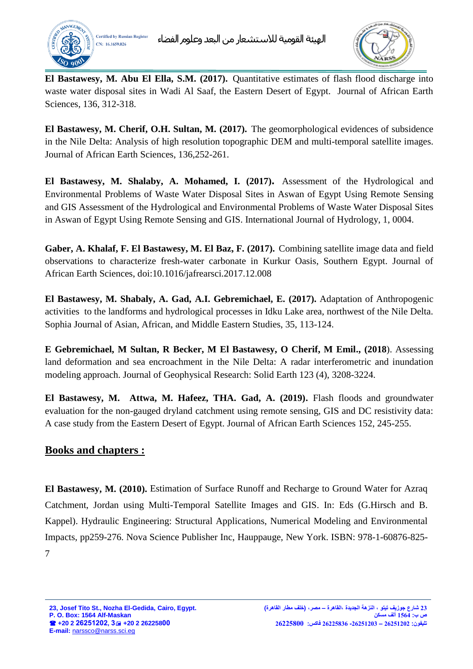



**El Bastawesy, M. Abu El Ella, S.M. (2017).** Quantitative estimates of flash flood discharge into waste water disposal sites in Wadi Al Saaf, the Eastern Desert of Egypt. Journal of African Earth Sciences, 136, 312-318.

**El Bastawesy, M. Cherif, O.H. Sultan, M. (2017).** The geomorphological evidences of subsidence in the Nile Delta: Analysis of high resolution topographic DEM and multi-temporal satellite images. Journal of African Earth Sciences, 136,252-261.

**El Bastawesy, M. Shalaby, A. Mohamed, I. (2017).** Assessment of the Hydrological and Environmental Problems of Waste Water Disposal Sites in Aswan of Egypt Using Remote Sensing and GIS Assessment of the Hydrological and Environmental Problems of Waste Water Disposal Sites in Aswan of Egypt Using Remote Sensing and GIS. International Journal of Hydrology, 1, 0004.

**Gaber, A. Khalaf, F. El Bastawesy, M. El Baz, F. (2017).** Combining satellite image data and field observations to characterize fresh-water carbonate in Kurkur Oasis, Southern Egypt. Journal of African Earth Sciences, doi:10.1016/jafrearsci.2017.12.008

**El Bastawesy, M. Shabaly, A. Gad, A.I. Gebremichael, E. (2017).** Adaptation of Anthropogenic activities to the landforms and hydrological processes in Idku Lake area, northwest of the Nile Delta. Sophia Journal of Asian, African, and Middle Eastern Studies, 35, 113-124.

**E Gebremichael, M Sultan, R Becker, M El Bastawesy, O Cherif, M Emil., (2018**). [Assessing](javascript:void(0))  [land deformation and sea encroachment in the Nile Delta: A radar interferometric and inundation](javascript:void(0))  [modeling approach.](javascript:void(0)) Journal of Geophysical Research: Solid Earth 123 (4), 3208-3224.

**El Bastawesy, M. Attwa, M. Hafeez, THA. Gad, A. (2019).** [Flash floods and groundwater](javascript:void(0))  [evaluation for the non-gauged dryland catchment using remote sensing, GIS and DC resistivity data:](javascript:void(0))  [A case study from the Eastern Desert of Egypt.](javascript:void(0)) Journal of African Earth Sciences 152, 245-255.

## **Books and chapters :**

**El Bastawesy, M. (2010).** Estimation of Surface Runoff and Recharge to Ground Water for Azraq Catchment, Jordan using Multi-Temporal Satellite Images and GIS. In: Eds (G.Hirsch and B. Kappel). Hydraulic Engineering: Structural Applications, Numerical Modeling and Environmental Impacts, pp259-276. Nova Science Publisher Inc, Hauppauge, New York. ISBN: 978-1-60876-825- 7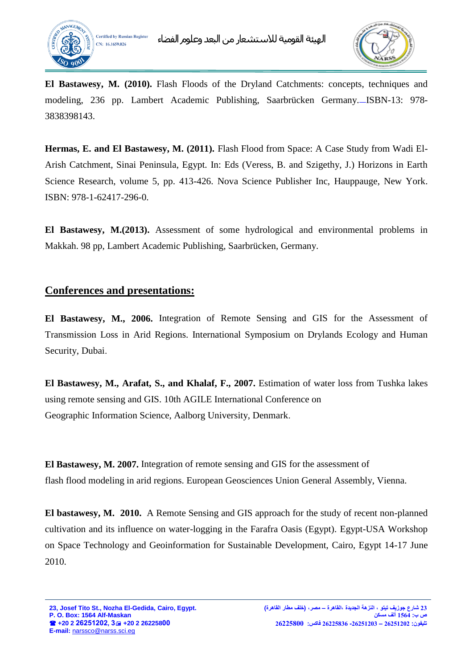



**El Bastawesy, M. (2010).** Flash Floods of the Dryland Catchments: concepts, techniques and modeling, 236 pp. Lambert Academic Publishing, Saarbrücken Germany. ISBN-13: 978- 3838398143.

**Hermas, E. and El Bastawesy, M. (2011).** Flash Flood from Space: A Case Study from Wadi El-Arish Catchment, Sinai Peninsula, Egypt. In: Eds (Veress, B. and Szigethy, J.) Horizons in Earth Science Research, volume 5, pp. 413-426. Nova Science Publisher Inc, Hauppauge, New York. ISBN: 978-1-62417-296-0.

**El Bastawesy, M.(2013).** Assessment of some hydrological and environmental problems in Makkah. 98 pp, Lambert Academic Publishing, Saarbrücken, Germany.

## **Conferences and presentations:**

**El Bastawesy, M., 2006.** Integration of Remote Sensing and GIS for the Assessment of Transmission Loss in Arid Regions. International Symposium on Drylands Ecology and Human Security, Dubai.

**El Bastawesy, M., Arafat, S., and Khalaf, F., 2007.** Estimation of water loss from Tushka lakes using remote sensing and GIS. 10th AGILE International Conference on Geographic Information Science, Aalborg University, Denmark.

**El Bastawesy, M. 2007.** Integration of remote sensing and GIS for the assessment of flash flood modeling in arid regions. European Geosciences Union General Assembly, Vienna.

**El bastawesy, M. 2010.** A Remote Sensing and GIS approach for the study of recent non-planned cultivation and its influence on water-logging in the Farafra Oasis (Egypt). Egypt-USA Workshop on Space Technology and Geoinformation for Sustainable Development, Cairo, Egypt 14-17 June 2010.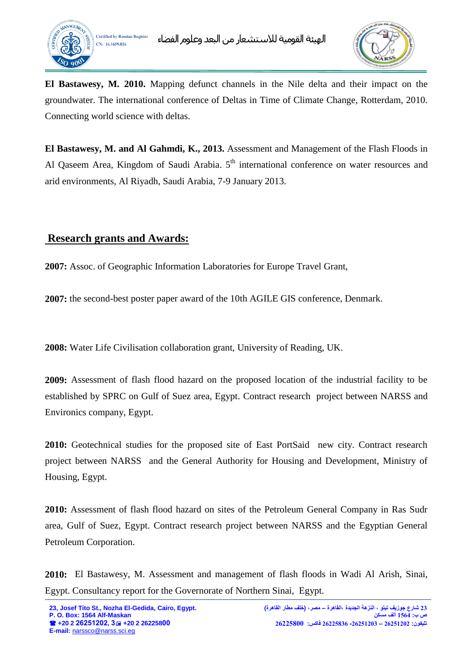



**El Bastawesy, M. 2010.** Mapping defunct channels in the Nile delta and their impact on the groundwater. The international conference of Deltas in Time of Climate Change, Rotterdam, 2010. Connecting world science with deltas.

**El Bastawesy, M. and Al Gahmdi, K., 2013.** [Assessment and Management of the Flash Floods in](http://www.icwrae-psipw.org/images/stories/2012/Water_Resources/13/index.html)  [Al Qaseem Area, Kingdom of Saudi Arabia.](http://www.icwrae-psipw.org/images/stories/2012/Water_Resources/13/index.html)  $5<sup>th</sup>$  international conference on water resources and arid environments, Al Riyadh, Saudi Arabia, 7-9 January 2013.

# **Research grants and Awards:**

**2007:** Assoc. of Geographic Information Laboratories for Europe Travel Grant,

**2007:** the second-best poster paper award of the 10th AGILE GIS conference, Denmark.

**2008:** Water Life Civilisation collaboration grant, University of Reading, UK.

**2009:** Assessment of flash flood hazard on the proposed location of the industrial facility to be established by SPRC on Gulf of Suez area, Egypt. Contract research project between NARSS and Environics company, Egypt.

**2010:** Geotechnical studies for the proposed site of East PortSaid new city. Contract research project between NARSS and the General Authority for Housing and Development, Ministry of Housing, Egypt.

**2010:** Assessment of flash flood hazard on sites of the Petroleum General Company in Ras Sudr area, Gulf of Suez, Egypt. Contract research project between NARSS and the Egyptian General Petroleum Corporation.

**2010:** El Bastawesy, M. Assessment and management of flash floods in Wadi Al Arish, Sinai, Egypt. Consultancy report for the Governorate of Northern Sinai, Egypt.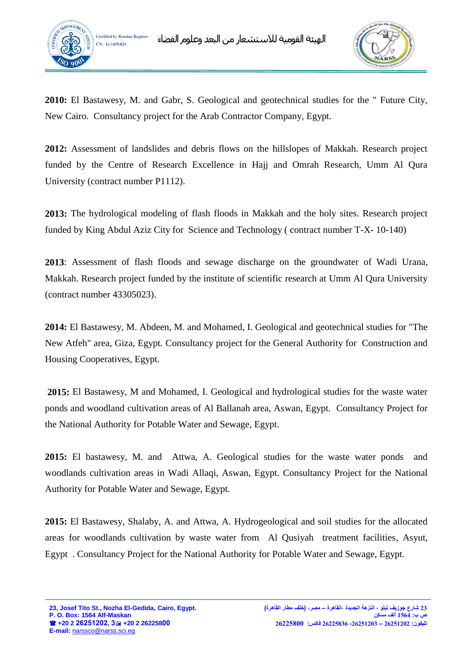



**2010:** El Bastawesy, M. and Gabr, S. Geological and geotechnical studies for the " Future City, New Cairo. Consultancy project for the Arab Contractor Company, Egypt.

**2012:** Assessment of landslides and debris flows on the hillslopes of Makkah. Research project funded by the Centre of Research Excellence in Hajj and Omrah Research, Umm Al Qura University (contract number P1112).

**2013:** The hydrological modeling of flash floods in Makkah and the holy sites. Research project funded by King Abdul Aziz City for Science and Technology ( contract number T-X- 10-140)

**2013**: Assessment of flash floods and sewage discharge on the groundwater of Wadi Urana, Makkah. Research project funded by the institute of scientific research at Umm Al Qura University (contract number 43305023).

**2014:** El Bastawesy, M. Abdeen, M. and Mohamed, I. Geological and geotechnical studies for "The New Atfeh" area, Giza, Egypt. Consultancy project for the General Authority for Construction and Housing Cooperatives, Egypt.

**2015:** El Bastawesy, M and Mohamed, I. Geological and hydrological studies for the waste water ponds and woodland cultivation areas of Al Ballanah area, Aswan, Egypt. Consultancy Project for the National Authority for Potable Water and Sewage, Egypt.

**2015:** El bastawesy, M. and Attwa, A. Geological studies for the waste water ponds and woodlands cultivation areas in Wadi Allaqi, Aswan, Egypt. Consultancy Project for the National Authority for Potable Water and Sewage, Egypt.

**2015:** El Bastawesy, Shalaby, A. and Attwa, A. Hydrogeological and soil studies for the allocated areas for woodlands cultivation by waste water from Al Qusiyah treatment facilities, Asyut, Egypt . Consultancy Project for the National Authority for Potable Water and Sewage, Egypt.